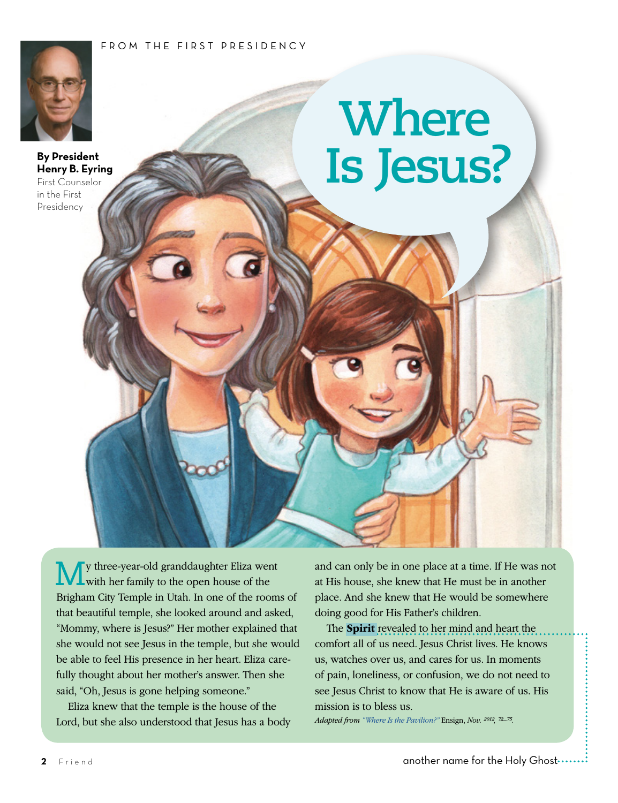## FROM THE FIRST PRESIDENCY



**By President Henry B. Eyring** First Counselor in the First Presidency

## **Where Is Jesus?**

My three-year-old granddaughter Eliza went with her family to the open house of the Brigham City Temple in Utah. In one of the rooms of that beautiful temple, she looked around and asked, "Mommy, where is Jesus?" Her mother explained that she would not see Jesus in the temple, but she would be able to feel His presence in her heart. Eliza carefully thought about her mother's answer. Then she said, "Oh, Jesus is gone helping someone."

Eliza knew that the temple is the house of the Lord, but she also understood that Jesus has a body and can only be in one place at a time. If He was not at His house, she knew that He must be in another place. And she knew that He would be somewhere doing good for His Father's children.

The **Spirit** revealed to her mind and heart the comfort all of us need. Jesus Christ lives. He knows us, watches over us, and cares for us. In moments of pain, loneliness, or confusion, we do not need to see Jesus Christ to know that He is aware of us. His mission is to bless us.

*Adapted from ["Where Is the Pavilion?"](https://www.lds.org/general-conference/2012/10/where-is-the-pavilion?lang=eng)* Ensign, *Nov. 2012, 72–75.*